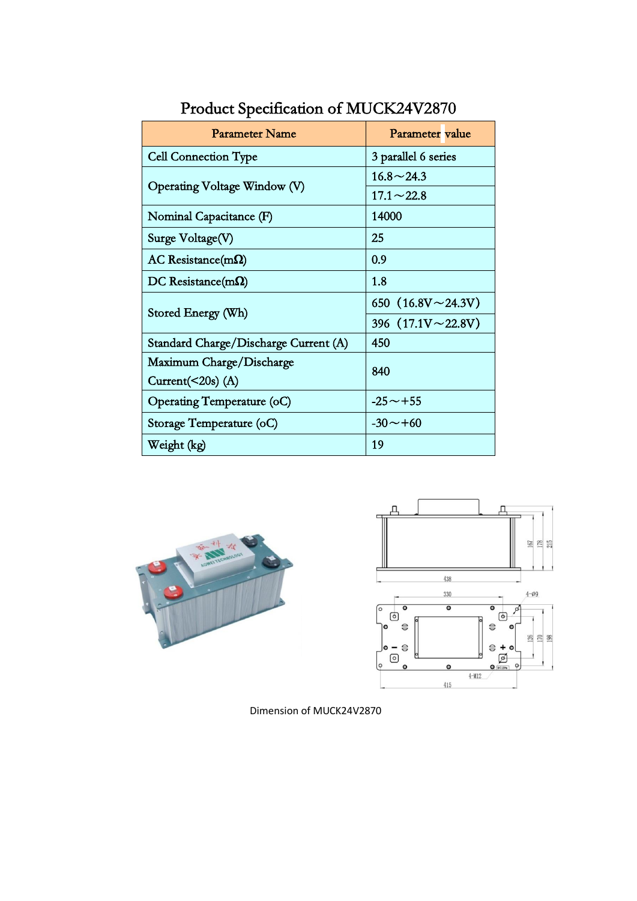| Parameter Name                        | Parameter value                          |
|---------------------------------------|------------------------------------------|
| <b>Cell Connection Type</b>           | 3 parallel 6 series                      |
| Operating Voltage Window (V)          | $16.8 \sim 24.3$                         |
|                                       | $17.1 \sim 22.8$                         |
| Nominal Capacitance (F)               | 14000                                    |
| Surge Voltage(V)                      | 25                                       |
| $AC$ Resistance(m $\Omega$ )          | 0.9                                      |
| DC Resistance(m $\Omega$ )            | 1.8                                      |
| Stored Energy (Wh)                    | 650 $(16.8 \text{V} \sim 24.3 \text{V})$ |
|                                       | 396 $(17.1V \sim 22.8V)$                 |
| Standard Charge/Discharge Current (A) | 450                                      |
| Maximum Charge/Discharge              | 840                                      |
| Current( $\leq$ 20s) (A)              |                                          |
| Operating Temperature (oC)            | $-25 \sim +55$                           |
| Storage Temperature (oC)              | $-30 \sim +60$                           |
| Weight (kg)                           | 19                                       |

Product Specification of MUCK24V2870





Dimension of MUCK24V2870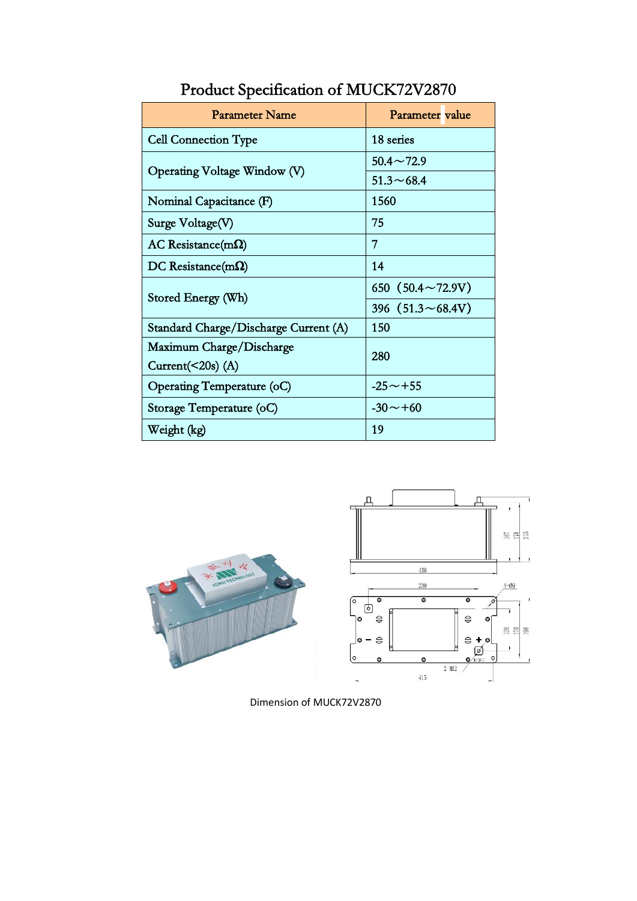| <b>Parameter Name</b>                 | Parameter value          |
|---------------------------------------|--------------------------|
| <b>Cell Connection Type</b>           | 18 series                |
| Operating Voltage Window (V)          | $50.4 \sim 72.9$         |
|                                       | $51.3 \sim 68.4$         |
| Nominal Capacitance (F)               | 1560                     |
| Surge Voltage(V)                      | 75                       |
| $AC$ Resistance(m $\Omega$ )          | 7                        |
| $DC$ Resistance(m $\Omega$ )          | 14                       |
| Stored Energy (Wh)                    | 650 $(50.4 \sim 72.9 V)$ |
|                                       | 396 $(51.3 \sim 68.4 V)$ |
| Standard Charge/Discharge Current (A) | 150                      |
| Maximum Charge/Discharge              | 280                      |
| Current( $\leq$ 20s) (A)              |                          |
| Operating Temperature (oC)            | $-25 \sim +55$           |
| Storage Temperature (oC)              | $-30 \sim +60$           |
| Weight (kg)                           | 19                       |

## Product Specification of MUCK72V2870





Dimension of MUCK72V2870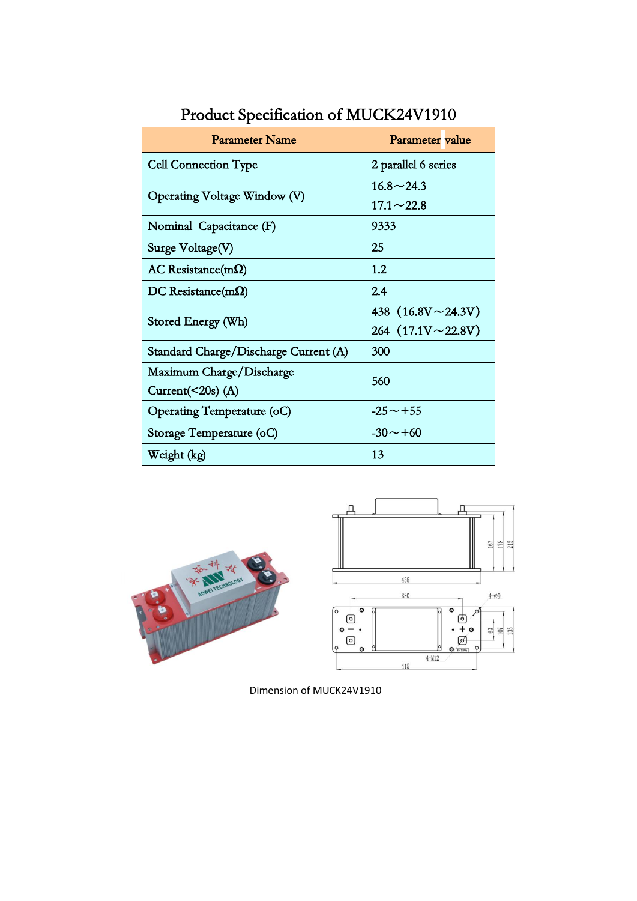| <b>Parameter Name</b>                 | Parameter value          |
|---------------------------------------|--------------------------|
| <b>Cell Connection Type</b>           | 2 parallel 6 series      |
| Operating Voltage Window (V)          | $16.8 \sim 24.3$         |
|                                       | $17.1 \sim 22.8$         |
| Nominal Capacitance (F)               | 9333                     |
| Surge Voltage(V)                      | 25                       |
| $AC$ Resistance(m $\Omega$ )          | 1.2                      |
| DC Resistance(m $\Omega$ )            | 2.4                      |
| Stored Energy (Wh)                    | 438 $(16.8V \sim 24.3V)$ |
|                                       | 264 $(17.1V \sim 22.8V)$ |
| Standard Charge/Discharge Current (A) | 300                      |
| Maximum Charge/Discharge              | 560                      |
| Current( $\leq$ 20s) (A)              |                          |
| Operating Temperature (oC)            | $-25 \sim +55$           |
| Storage Temperature (oC)              | $-30 \sim +60$           |
| Weight (kg)                           | 13                       |

Product Specification of MUCK24V1910



Dimension of MUCK24V1910